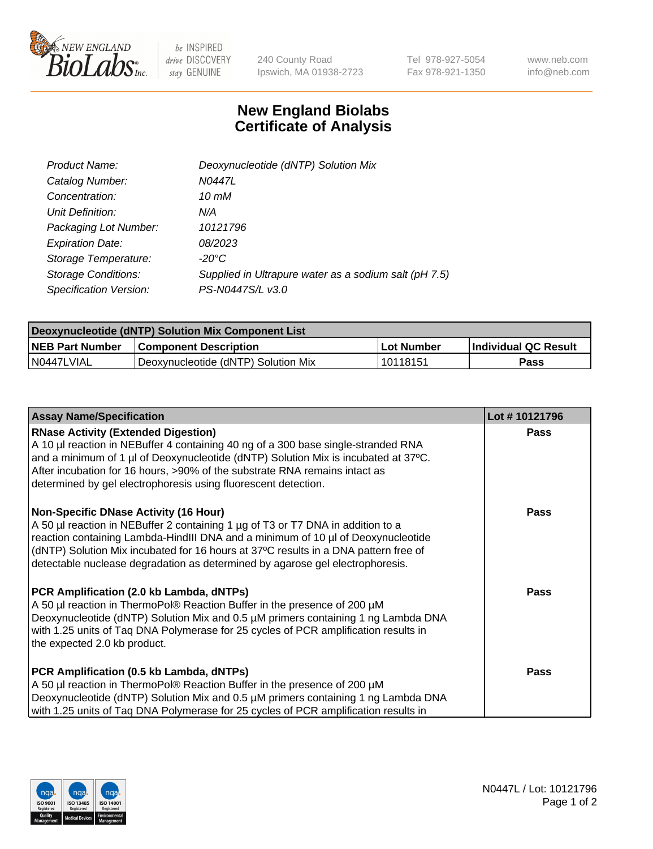

 $be$  INSPIRED drive DISCOVERY stay GENUINE

240 County Road Ipswich, MA 01938-2723 Tel 978-927-5054 Fax 978-921-1350 www.neb.com info@neb.com

## **New England Biolabs Certificate of Analysis**

| Product Name:              | Deoxynucleotide (dNTP) Solution Mix                   |
|----------------------------|-------------------------------------------------------|
| Catalog Number:            | N0447L                                                |
| Concentration:             | 10 mM                                                 |
| Unit Definition:           | N/A                                                   |
| Packaging Lot Number:      | 10121796                                              |
| <b>Expiration Date:</b>    | <i>08/2023</i>                                        |
| Storage Temperature:       | -20°C                                                 |
| <b>Storage Conditions:</b> | Supplied in Ultrapure water as a sodium salt (pH 7.5) |
| Specification Version:     | PS-N0447S/L v3.0                                      |

| Deoxynucleotide (dNTP) Solution Mix Component List |                                     |                   |                             |  |
|----------------------------------------------------|-------------------------------------|-------------------|-----------------------------|--|
| <b>NEB Part Number</b>                             | <b>Component Description</b>        | <b>Lot Number</b> | <b>Individual QC Result</b> |  |
| I N0447LVIAL                                       | Deoxynucleotide (dNTP) Solution Mix | 10118151          | Pass                        |  |

| <b>Assay Name/Specification</b>                                                                                                                                                                                                                                                                                                                                                      | Lot #10121796 |
|--------------------------------------------------------------------------------------------------------------------------------------------------------------------------------------------------------------------------------------------------------------------------------------------------------------------------------------------------------------------------------------|---------------|
| <b>RNase Activity (Extended Digestion)</b><br>A 10 µl reaction in NEBuffer 4 containing 40 ng of a 300 base single-stranded RNA<br>and a minimum of 1 µl of Deoxynucleotide (dNTP) Solution Mix is incubated at 37°C.<br>After incubation for 16 hours, >90% of the substrate RNA remains intact as<br>determined by gel electrophoresis using fluorescent detection.                | <b>Pass</b>   |
| Non-Specific DNase Activity (16 Hour)<br>A 50 µl reaction in NEBuffer 2 containing 1 µg of T3 or T7 DNA in addition to a<br>reaction containing Lambda-HindIII DNA and a minimum of 10 µl of Deoxynucleotide<br>(dNTP) Solution Mix incubated for 16 hours at 37°C results in a DNA pattern free of<br>detectable nuclease degradation as determined by agarose gel electrophoresis. | <b>Pass</b>   |
| PCR Amplification (2.0 kb Lambda, dNTPs)<br>A 50 µl reaction in ThermoPol® Reaction Buffer in the presence of 200 µM<br>Deoxynucleotide (dNTP) Solution Mix and 0.5 µM primers containing 1 ng Lambda DNA<br>with 1.25 units of Taq DNA Polymerase for 25 cycles of PCR amplification results in<br>the expected 2.0 kb product.                                                     | <b>Pass</b>   |
| PCR Amplification (0.5 kb Lambda, dNTPs)<br>A 50 µl reaction in ThermoPol® Reaction Buffer in the presence of 200 µM<br>Deoxynucleotide (dNTP) Solution Mix and 0.5 µM primers containing 1 ng Lambda DNA<br>with 1.25 units of Tag DNA Polymerase for 25 cycles of PCR amplification results in                                                                                     | <b>Pass</b>   |